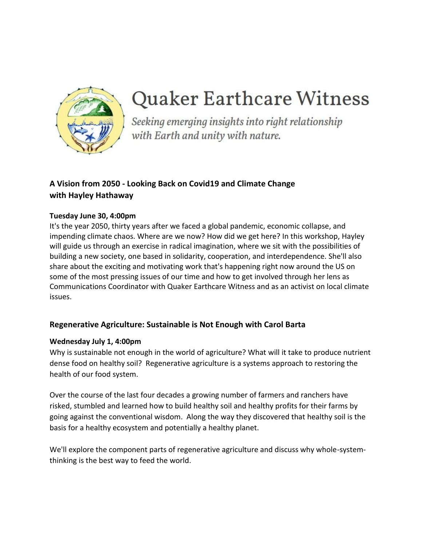

# **Quaker Earthcare Witness**

Seeking emerging insights into right relationship with Earth and unity with nature.

# **A Vision from 2050 - Looking Back on Covid19 and Climate Change with Hayley Hathaway**

## **Tuesday June 30, 4:00pm**

It's the year 2050, thirty years after we faced a global pandemic, economic collapse, and impending climate chaos. Where are we now? How did we get here? In this workshop, Hayley will guide us through an exercise in radical imagination, where we sit with the possibilities of building a new society, one based in solidarity, cooperation, and interdependence. She'll also share about the exciting and motivating work that's happening right now around the US on some of the most pressing issues of our time and how to get involved through her lens as Communications Coordinator with Quaker Earthcare Witness and as an activist on local climate issues.

## **Regenerative Agriculture: Sustainable is Not Enough with Carol Barta**

## **Wednesday July 1, 4:00pm**

Why is sustainable not enough in the world of agriculture? What will it take to produce nutrient dense food on healthy soil? Regenerative agriculture is a systems approach to restoring the health of our food system.

Over the course of the last four decades a growing number of farmers and ranchers have risked, stumbled and learned how to build healthy soil and healthy profits for their farms by going against the conventional wisdom. Along the way they discovered that healthy soil is the basis for a healthy ecosystem and potentially a healthy planet.

We'll explore the component parts of regenerative agriculture and discuss why whole-systemthinking is the best way to feed the world.